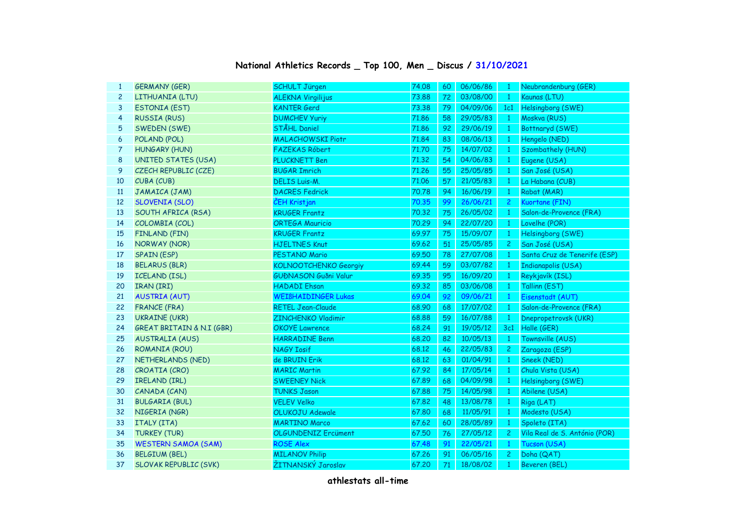## **National Athletics Records \_ Top 100, Men \_ Discus / 31/10/2021**

| $\mathbf{1}$   | <b>GERMANY (GER)</b>                 | <b>SCHULT Jürgen</b>         | 74.08 | 60 | 06/06/86 | $\mathbf{1}$   | Neubrandenburg (GER)          |
|----------------|--------------------------------------|------------------------------|-------|----|----------|----------------|-------------------------------|
| $\overline{c}$ | LITHUANIA (LTU)                      | <b>ALEKNA Virgilijus</b>     | 73.88 | 72 | 03/08/00 | $\mathbf{1}$   | Kaunas (LTU)                  |
| 3              | <b>ESTONIA (EST)</b>                 | <b>KANTER Gerd</b>           | 73.38 | 79 | 04/09/06 | 1c1            | Helsingborg (SWE)             |
| $\overline{4}$ | <b>RUSSIA (RUS)</b>                  | <b>DUMCHEV Yuriy</b>         | 71.86 | 58 | 29/05/83 | $\mathbf{1}$   | Moskva (RUS)                  |
| 5              | SWEDEN (SWE)                         | <b>STÅHL Daniel</b>          | 71.86 | 92 | 29/06/19 | $\mathbf{1}$   | Bottnaryd (SWE)               |
| 6              | POLAND (POL)                         | <b>MALACHOWSKI Piotr</b>     | 71.84 | 83 | 08/06/13 | $\mathbf{1}$   | Hengelo (NED)                 |
| 7              | <b>HUNGARY (HUN)</b>                 | <b>FAZEKAS Róbert</b>        | 71.70 | 75 | 14/07/02 | $\mathbf{1}$   | Szombathely (HUN)             |
| 8              | <b>UNITED STATES (USA)</b>           | PLUCKNETT Ben                | 71.32 | 54 | 04/06/83 | $\mathbf{1}$   | Eugene (USA)                  |
| 9              | CZECH REPUBLIC (CZE)                 | <b>BUGAR Imrich</b>          | 71.26 | 55 | 25/05/85 | $\mathbf{1}$   | San José (USA)                |
| 10             | CUBA (CUB)                           | <b>DELIS Luis-M.</b>         | 71.06 | 57 | 21/05/83 | $\mathbf{1}$   | La Habana (CUB)               |
| 11             | JAMAICA (JAM)                        | <b>DACRES Fedrick</b>        | 70.78 | 94 | 16/06/19 | $\mathbf{1}$   | Rabat (MAR)                   |
| 12             | <b>SLOVENIA (SLO)</b>                | ČEH Kristjan                 | 70.35 | 99 | 26/06/21 | $\mathbf{2}$   | Kuortane (FIN)                |
| 13             | SOUTH AFRICA (RSA)                   | <b>KRUGER Frantz</b>         | 70.32 | 75 | 26/05/02 | $\mathbf{1}$   | Salon-de-Provence (FRA)       |
| 14             | COLOMBIA (COL)                       | <b>ORTEGA Mauricio</b>       | 70.29 | 94 | 22/07/20 | $\mathbf{1}$   | Lovelhe (POR)                 |
| 15             | FINLAND (FIN)                        | <b>KRUGER Frantz</b>         | 69.97 | 75 | 15/09/07 | $\mathbf{1}$   | Helsingborg (SWE)             |
| 16             | NORWAY (NOR)                         | <b>HJELTNES Knut</b>         | 69.62 | 51 | 25/05/85 | $\overline{c}$ | San José (USA)                |
| 17             | <b>SPAIN (ESP)</b>                   | PESTANO Mario                | 69.50 | 78 | 27/07/08 | 1              | Santa Cruz de Tenerife (ESP)  |
| 18             | <b>BELARUS (BLR)</b>                 | <b>KOLNOOTCHENKO Georgiy</b> | 69.44 | 59 | 03/07/82 | 1              | <b>Indianapolis (USA)</b>     |
| 19             | <b>ICELAND (ISL)</b>                 | <b>GUÐNASON Guðni Valur</b>  | 69.35 | 95 | 16/09/20 | $\mathbf{1}$   | Reykjavík (ISL)               |
| 20             | IRAN (IRI)                           | <b>HADADI Ehsan</b>          | 69.32 | 85 | 03/06/08 | $\mathbf{1}$   | Tallinn (EST)                 |
| 21             | <b>AUSTRIA (AUT)</b>                 | <b>WEIßHAIDINGER Lukas</b>   | 69.04 | 92 | 09/06/21 | $\mathbf{1}$   | Eisenstadt (AUT)              |
| 22             | <b>FRANCE (FRA)</b>                  | <b>RETEL Jean-Claude</b>     | 68.90 | 68 | 17/07/02 | $\mathbf{1}$   | Salon-de-Provence (FRA)       |
| 23             | <b>UKRAINE (UKR)</b>                 | <b>ZINCHENKO Vladimir</b>    | 68.88 | 59 | 16/07/88 | $\mathbf{1}$   | Dnepropetrovsk (UKR)          |
| 24             | <b>GREAT BRITAIN &amp; N.I (GBR)</b> | <b>OKOYE</b> Lawrence        | 68.24 | 91 | 19/05/12 |                | 3c1 Halle (GER)               |
| 25             | <b>AUSTRALIA (AUS)</b>               | <b>HARRADINE Benn</b>        | 68,20 | 82 | 10/05/13 | $\mathbf{1}$   | Townsville (AUS)              |
| 26             | ROMANIA (ROU)                        | <b>NAGY Iosif</b>            | 68.12 | 46 | 22/05/83 | $2 -$          | Zaragoza (ESP)                |
| 27             | NETHERLANDS (NED)                    | de BRUIN Erik                | 68.12 | 63 | 01/04/91 | $1 -$          | Sneek (NED)                   |
| 28             | CROATIA (CRO)                        | <b>MARIC Martin</b>          | 67.92 | 84 | 17/05/14 | $\mathbf{1}$   | Chula Vista (USA)             |
| 29             | IRELAND (IRL)                        | <b>SWEENEY Nick</b>          | 67.89 | 68 | 04/09/98 | $\mathbf{1}$   | Helsingborg (SWE)             |
| 30             | CANADA (CAN)                         | <b>TUNKS Jason</b>           | 67.88 | 75 | 14/05/98 | $\mathbf{1}$   | Abilene (USA)                 |
| 31             | <b>BULGARIA (BUL)</b>                | <b>VELEV Velko</b>           | 67.82 | 48 | 13/08/78 | $\mathbf{1}$   | Riga (LAT)                    |
| 32             | NIGERIA (NGR)                        | <b>OLUKOJU Adewale</b>       | 67.80 | 68 | 11/05/91 | $\mathbf{1}$   | Modesto (USA)                 |
| 33             | ITALY (ITA)                          | <b>MARTINO Marco</b>         | 67.62 | 60 | 28/05/89 | $\mathbf{1}$   | Spoleto (ITA)                 |
| 34             | <b>TURKEY (TUR)</b>                  | <b>OLGUNDENIZ Ercüment</b>   | 67.50 | 76 | 27/05/12 | $2^{\circ}$    | Vila Real de S. António (POR) |
| 35             | <b>WESTERN SAMOA (SAM)</b>           | <b>ROSE Alex</b>             | 67.48 | 91 | 22/05/21 | $\mathbf{1}$   | Tucson (USA)                  |
| 36             | <b>BELGIUM (BEL)</b>                 | <b>MILANOV Philip</b>        | 67.26 | 91 | 06/05/16 | $\mathbf{2}$   | Doha (QAT)                    |
| 37             | <b>SLOVAK REPUBLIC (SVK)</b>         | ŽITNANSKÝ Jaroslav           | 67.20 | 71 | 18/08/02 | $\mathbf{1}$   | Beveren (BEL)                 |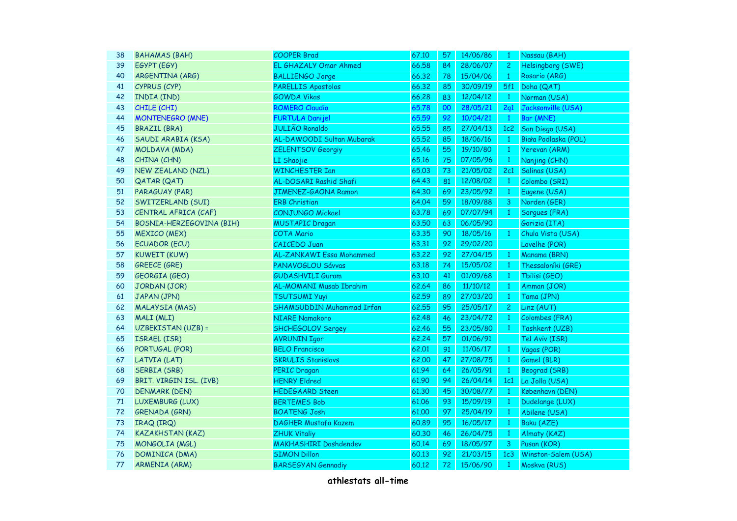| 38 | <b>BAHAMAS (BAH)</b>     | <b>COOPER Brad</b>               | 67.10 | 57 | 14/06/86 | $\mathbf{1}$ | Nassau (BAH)             |
|----|--------------------------|----------------------------------|-------|----|----------|--------------|--------------------------|
| 39 | EGYPT (EGY)              | EL GHAZALY Omar Ahmed            | 66.58 | 84 | 28/06/07 | $2 -$        | <b>Helsingborg (SWE)</b> |
| 40 | ARGENTINA (ARG)          | <b>BALLIENGO Jorge</b>           | 66.32 | 78 | 15/04/06 | $\mathbf{1}$ | Rosario (ARG)            |
| 41 | CYPRUS (CYP)             | <b>PARELLIS Apostolos</b>        | 66.32 | 85 | 30/09/19 | 5f1          | Doha (QAT)               |
| 42 | INDIA (IND)              | <b>GOWDA Vikas</b>               | 66.28 | 83 | 12/04/12 | $\mathbf{1}$ | Norman (USA)             |
| 43 | CHILE (CHI)              | <b>ROMERO Claudio</b>            | 65.78 | 00 | 28/05/21 | 2q1          | Jacksonville (USA)       |
| 44 | <b>MONTENEGRO (MNE)</b>  | <b>FURTULA Danijel</b>           | 65.59 | 92 | 10/04/21 | $\mathbf{1}$ | Bar (MNE)                |
| 45 | <b>BRAZIL (BRA)</b>      | <b>JULIÃO Ronaldo</b>            | 65.55 | 85 | 27/04/13 | 1c2          | San Diego (USA)          |
| 46 | SAUDI ARABIA (KSA)       | AL-DAWOODI Sultan Mubarak        | 65.52 | 85 | 18/06/16 | $\mathbf{1}$ | Biała Podlaska (POL)     |
| 47 | MOLDAVA (MDA)            | <b>ZELENTSOV Georgiy</b>         | 65.46 | 55 | 19/10/80 | $\mathbf{1}$ | Yerevan (ARM)            |
| 48 | CHINA (CHN)              | LI Shaojie                       | 65.16 | 75 | 07/05/96 | $\mathbf{1}$ | Nanjing (CHN)            |
| 49 | <b>NEW ZEALAND (NZL)</b> | <b>WINCHESTER Ian</b>            | 65.03 | 73 | 21/05/02 | 2c1          | Salinas (USA)            |
| 50 | <b>QATAR (QAT)</b>       | AL-DOSARI Rashid Shafi           | 64.43 | 81 | 12/08/02 | $\mathbf{1}$ | Colombo (SRI)            |
| 51 | PARAGUAY (PAR)           | JIMENEZ-GAONA Ramon              | 64.30 | 69 | 23/05/92 | $\mathbf{1}$ | Eugene (USA)             |
| 52 | SWITZERLAND (SUI)        | <b>ERB Christian</b>             | 64.04 | 59 | 18/09/88 | 3            | Norden (GER)             |
| 53 | CENTRAL AFRICA (CAF)     | CONJUNGO Mickael                 | 63.78 | 69 | 07/07/94 | $\mathbf{1}$ | Sorgues (FRA)            |
| 54 | BOSNIA-HERZEGOVINA (BIH) | <b>MUSTAPIC Dragan</b>           | 63.50 | 63 | 06/05/90 |              | Gorizia (ITA)            |
| 55 | <b>MEXICO (MEX)</b>      | <b>COTA Mario</b>                | 63.35 | 90 | 18/05/16 | $\mathbf{1}$ | Chula Vista (USA)        |
| 56 | <b>ECUADOR (ECU)</b>     | <b>CAICEDO Juan</b>              | 63.31 | 92 | 29/02/20 |              | Lovelhe (POR)            |
| 57 | <b>KUWEIT (KUW)</b>      | AL-ZANKAWI Essa Mohammed         | 63.22 | 92 | 27/04/15 | $\mathbf{1}$ | Manama (BRN)             |
| 58 | <b>GREECE (GRE)</b>      | PANAVOGLOU Sávvas                | 63.18 | 74 | 15/05/02 | $\mathbf{1}$ | Thessaloníki (GRE)       |
| 59 | <b>GEORGIA (GEO)</b>     | <b>GUDASHVILI Guram</b>          | 63.10 | 41 | 01/09/68 | $\mathbf{1}$ | Tbilisi (GEO)            |
| 60 | JORDAN (JOR)             | AL-MOMANI Musab Ibrahim          | 62.64 | 86 | 11/10/12 | $\mathbf{1}$ | Amman (JOR)              |
| 61 | JAPAN (JPN)              | <b>TSUTSUMI Yuyi</b>             | 62.59 | 89 | 27/03/20 | $\mathbf{1}$ | Tama (JPN)               |
| 62 | <b>MALAYSIA (MAS)</b>    | <b>SHAMSUDDIN Muhammad Irfan</b> | 62.55 | 95 | 25/05/17 | $\mathbf{2}$ | Linz (AUT)               |
| 63 | MALI (MLI)               | <b>NIARE Namakoro</b>            | 62.48 | 46 | 23/04/72 | $\mathbf{1}$ | Colombes (FRA)           |
| 64 | UZBEKISTAN (UZB) =       | <b>SHCHEGOLOV Sergey</b>         | 62.46 | 55 | 23/05/80 | $\mathbf{1}$ | Tashkent (UZB)           |
| 65 | ISRAEL (ISR)             | <b>AVRUNIN Igor</b>              | 62.24 | 57 | 01/06/91 |              | Tel Aviv (ISR)           |
| 66 | PORTUGAL (POR)           | <b>BELO Francisco</b>            | 62.01 | 91 | 11/06/17 | $\mathbf{1}$ | Vagos (POR)              |
| 67 | LATVIA (LAT)             | <b>SKRULIS Stanislavs</b>        | 62.00 | 47 | 27/08/75 | $\mathbf{1}$ | Gomel (BLR)              |
| 68 | SERBIA (SRB)             | <b>PERIC Dragan</b>              | 61.94 | 64 | 26/05/91 | $\mathbf{1}$ | Beograd (SRB)            |
| 69 | BRIT. VIRGIN ISL. (IVB)  | <b>HENRY Eldred</b>              | 61.90 | 94 | 26/04/14 | 1c1          | La Jolla (USA)           |
| 70 | DENMARK (DEN)            | <b>HEDEGAARD Steen</b>           | 61.30 | 45 | 30/08/77 | $\mathbf{1}$ | København (DEN)          |
| 71 | LUXEMBURG (LUX)          | <b>BERTEMES Bob</b>              | 61.06 | 93 | 15/09/19 | $\mathbf{1}$ | Dudelange (LUX)          |
| 72 | <b>GRENADA (GRN)</b>     | <b>BOATENG Josh</b>              | 61.00 | 97 | 25/04/19 | $\mathbf{1}$ | Abilene (USA)            |
| 73 | IRAQ (IRQ)               | <b>DAGHER Mustafa Kazem</b>      | 60.89 | 95 | 16/05/17 | $\mathbf{1}$ | Baku (AZE)               |
| 74 | <b>KAZAKHSTAN (KAZ)</b>  | <b>ZHUK Vitaliy</b>              | 60.30 | 46 | 26/04/75 | $\mathbf{1}$ | Almaty (KAZ)             |
| 75 | MONGOLIA (MGL)           | <b>MAKHASHIRI Dashdendev</b>     | 60.14 | 69 | 18/05/97 | 3            | Pusan (KOR)              |
| 76 | DOMINICA (DMA)           | <b>SIMON Dillon</b>              | 60.13 | 92 | 21/03/15 | 1c3          | Winston-Salem (USA)      |
| 77 | <b>ARMENIA (ARM)</b>     | <b>BARSEGYAN Gennadiy</b>        | 60.12 | 72 | 15/06/90 | $\mathbf{1}$ | Moskva (RUS)             |